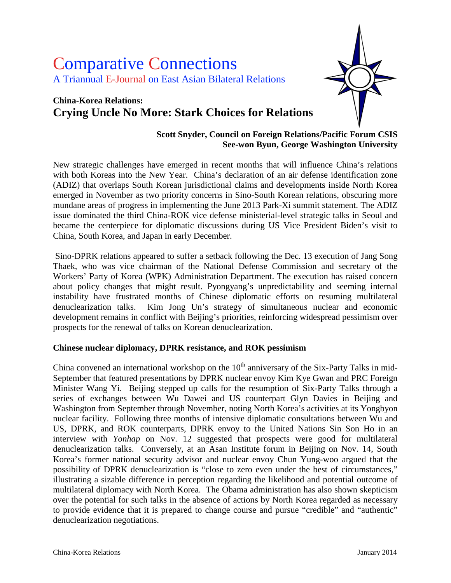# Comparative Connections A Triannual E-Journal on East Asian Bilateral Relations

## **China-Korea Relations: Crying Uncle No More: Stark Choices for Relations**



#### **Scott Snyder, Council on Foreign Relations/Pacific Forum CSIS See-won Byun, George Washington University**

New strategic challenges have emerged in recent months that will influence China's relations with both Koreas into the New Year. China's declaration of an air defense identification zone (ADIZ) that overlaps South Korean jurisdictional claims and developments inside North Korea emerged in November as two priority concerns in Sino-South Korean relations, obscuring more mundane areas of progress in implementing the June 2013 Park-Xi summit statement. The ADIZ issue dominated the third China-ROK vice defense ministerial-level strategic talks in Seoul and became the centerpiece for diplomatic discussions during US Vice President Biden's visit to China, South Korea, and Japan in early December.

Sino-DPRK relations appeared to suffer a setback following the Dec. 13 execution of Jang Song Thaek, who was vice chairman of the National Defense Commission and secretary of the Workers' Party of Korea (WPK) Administration Department. The execution has raised concern about policy changes that might result. Pyongyang's unpredictability and seeming internal instability have frustrated months of Chinese diplomatic efforts on resuming multilateral denuclearization talks. Kim Jong Un's strategy of simultaneous nuclear and economic development remains in conflict with Beijing's priorities, reinforcing widespread pessimism over prospects for the renewal of talks on Korean denuclearization.

#### **Chinese nuclear diplomacy, DPRK resistance, and ROK pessimism**

China convened an international workshop on the  $10<sup>th</sup>$  anniversary of the Six-Party Talks in mid-September that featured presentations by DPRK nuclear envoy Kim Kye Gwan and PRC Foreign Minister Wang Yi. Beijing stepped up calls for the resumption of Six-Party Talks through a series of exchanges between Wu Dawei and US counterpart Glyn Davies in Beijing and Washington from September through November, noting North Korea's activities at its Yongbyon nuclear facility. Following three months of intensive diplomatic consultations between Wu and US, DPRK, and ROK counterparts, DPRK envoy to the United Nations Sin Son Ho in an interview with *Yonhap* on Nov. 12 suggested that prospects were good for multilateral denuclearization talks. Conversely, at an Asan Institute forum in Beijing on Nov. 14, South Korea's former national security advisor and nuclear envoy Chun Yung-woo argued that the possibility of DPRK denuclearization is "close to zero even under the best of circumstances," illustrating a sizable difference in perception regarding the likelihood and potential outcome of multilateral diplomacy with North Korea. The Obama administration has also shown skepticism over the potential for such talks in the absence of actions by North Korea regarded as necessary to provide evidence that it is prepared to change course and pursue "credible" and "authentic" denuclearization negotiations.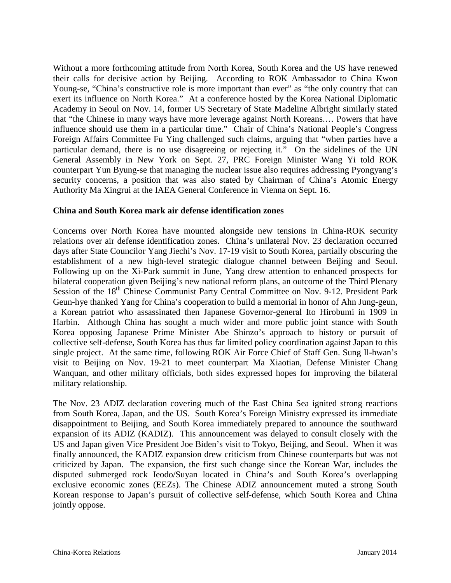Without a more forthcoming attitude from North Korea, South Korea and the US have renewed their calls for decisive action by Beijing. According to ROK Ambassador to China Kwon Young-se, "China's constructive role is more important than ever" as "the only country that can exert its influence on North Korea." At a conference hosted by the Korea National Diplomatic Academy in Seoul on Nov. 14, former US Secretary of State Madeline Albright similarly stated that "the Chinese in many ways have more leverage against North Koreans.… Powers that have influence should use them in a particular time." Chair of China's National People's Congress Foreign Affairs Committee Fu Ying challenged such claims, arguing that "when parties have a particular demand, there is no use disagreeing or rejecting it." On the sidelines of the UN General Assembly in New York on Sept. 27, PRC Foreign Minister Wang Yi told ROK counterpart Yun Byung-se that managing the nuclear issue also requires addressing Pyongyang's security concerns, a position that was also stated by Chairman of China's Atomic Energy Authority Ma Xingrui at the IAEA General Conference in Vienna on Sept. 16.

#### **China and South Korea mark air defense identification zones**

Concerns over North Korea have mounted alongside new tensions in China-ROK security relations over air defense identification zones. China's unilateral Nov. 23 declaration occurred days after State Councilor Yang Jiechi's Nov. 17-19 visit to South Korea, partially obscuring the establishment of a new high-level strategic dialogue channel between Beijing and Seoul. Following up on the Xi-Park summit in June, Yang drew attention to enhanced prospects for bilateral cooperation given Beijing's new national reform plans, an outcome of the Third Plenary Session of the 18<sup>th</sup> Chinese Communist Party Central Committee on Nov. 9-12. President Park Geun-hye thanked Yang for China's cooperation to build a memorial in honor of Ahn Jung-geun, a Korean patriot who assassinated then Japanese Governor-general Ito Hirobumi in 1909 in Harbin. Although China has sought a much wider and more public joint stance with South Korea opposing Japanese Prime Minister Abe Shinzo's approach to history or pursuit of collective self-defense, South Korea has thus far limited policy coordination against Japan to this single project. At the same time, following ROK Air Force Chief of Staff Gen. Sung Il-hwan's visit to Beijing on Nov. 19-21 to meet counterpart Ma Xiaotian, Defense Minister Chang Wanquan, and other military officials, both sides expressed hopes for improving the bilateral military relationship.

The Nov. 23 ADIZ declaration covering much of the East China Sea ignited strong reactions from South Korea, Japan, and the US. South Korea's Foreign Ministry expressed its immediate disappointment to Beijing, and South Korea immediately prepared to announce the southward expansion of its ADIZ (KADIZ). This announcement was delayed to consult closely with the US and Japan given Vice President Joe Biden's visit to Tokyo, Beijing, and Seoul. When it was finally announced, the KADIZ expansion drew criticism from Chinese counterparts but was not criticized by Japan. The expansion, the first such change since the Korean War, includes the disputed submerged rock Ieodo/Suyan located in China's and South Korea's overlapping exclusive economic zones (EEZs). The Chinese ADIZ announcement muted a strong South Korean response to Japan's pursuit of collective self-defense, which South Korea and China jointly oppose.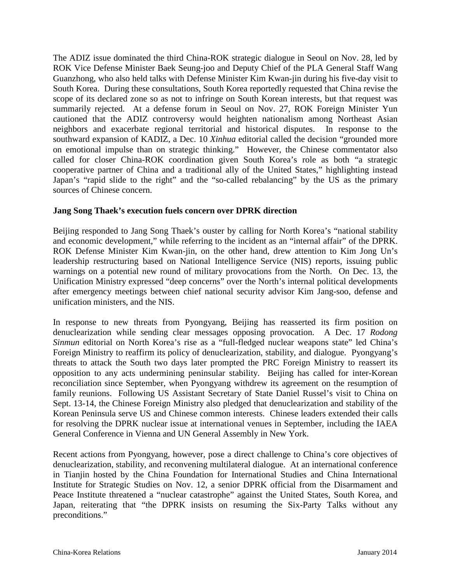The ADIZ issue dominated the third China-ROK strategic dialogue in Seoul on Nov. 28, led by ROK Vice Defense Minister Baek Seung-joo and Deputy Chief of the PLA General Staff Wang Guanzhong, who also held talks with Defense Minister Kim Kwan-jin during his five-day visit to South Korea. During these consultations, South Korea reportedly requested that China revise the scope of its declared zone so as not to infringe on South Korean interests, but that request was summarily rejected. At a defense forum in Seoul on Nov. 27, ROK Foreign Minister Yun cautioned that the ADIZ controversy would heighten nationalism among Northeast Asian neighbors and exacerbate regional territorial and historical disputes. In response to the southward expansion of KADIZ, a Dec. 10 *Xinhua* editorial called the decision "grounded more on emotional impulse than on strategic thinking." However, the Chinese commentator also called for closer China-ROK coordination given South Korea's role as both "a strategic cooperative partner of China and a traditional ally of the United States," highlighting instead Japan's "rapid slide to the right" and the "so-called rebalancing" by the US as the primary sources of Chinese concern.

#### **Jang Song Thaek's execution fuels concern over DPRK direction**

Beijing responded to Jang Song Thaek's ouster by calling for North Korea's "national stability and economic development," while referring to the incident as an "internal affair" of the DPRK. ROK Defense Minister Kim Kwan-jin, on the other hand, drew attention to Kim Jong Un's leadership restructuring based on National Intelligence Service (NIS) reports, issuing public warnings on a potential new round of military provocations from the North. On Dec. 13, the Unification Ministry expressed "deep concerns" over the North's internal political developments after emergency meetings between chief national security advisor Kim Jang-soo, defense and unification ministers, and the NIS.

In response to new threats from Pyongyang, Beijing has reasserted its firm position on denuclearization while sending clear messages opposing provocation. A Dec. 17 *Rodong Sinmun* editorial on North Korea's rise as a "full-fledged nuclear weapons state" led China's Foreign Ministry to reaffirm its policy of denuclearization, stability, and dialogue. Pyongyang's threats to attack the South two days later prompted the PRC Foreign Ministry to reassert its opposition to any acts undermining peninsular stability. Beijing has called for inter-Korean reconciliation since September, when Pyongyang withdrew its agreement on the resumption of family reunions. Following US Assistant Secretary of State Daniel Russel's visit to China on Sept. 13-14, the Chinese Foreign Ministry also pledged that denuclearization and stability of the Korean Peninsula serve US and Chinese common interests. Chinese leaders extended their calls for resolving the DPRK nuclear issue at international venues in September, including the IAEA General Conference in Vienna and UN General Assembly in New York.

Recent actions from Pyongyang, however, pose a direct challenge to China's core objectives of denuclearization, stability, and reconvening multilateral dialogue. At an international conference in Tianjin hosted by the China Foundation for International Studies and China International Institute for Strategic Studies on Nov. 12, a senior DPRK official from the Disarmament and Peace Institute threatened a "nuclear catastrophe" against the United States, South Korea, and Japan, reiterating that "the DPRK insists on resuming the Six-Party Talks without any preconditions."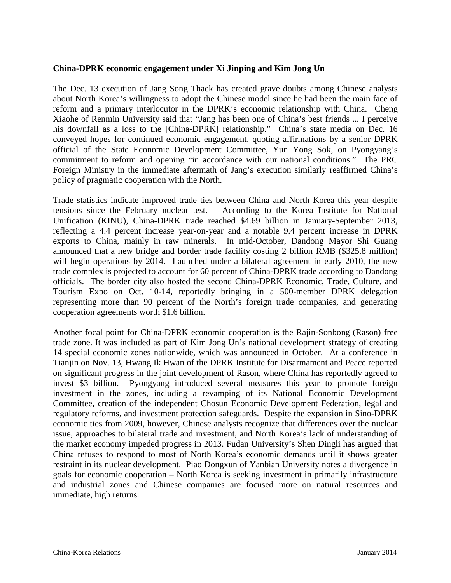#### **China-DPRK economic engagement under Xi Jinping and Kim Jong Un**

The Dec. 13 execution of Jang Song Thaek has created grave doubts among Chinese analysts about North Korea's willingness to adopt the Chinese model since he had been the main face of reform and a primary interlocutor in the DPRK's economic relationship with China. Cheng Xiaohe of Renmin University said that "Jang has been one of China's best friends ... I perceive his downfall as a loss to the [China-DPRK] relationship." China's state media on Dec. 16 conveyed hopes for continued economic engagement, quoting affirmations by a senior DPRK official of the State Economic Development Committee, Yun Yong Sok, on Pyongyang's commitment to reform and opening "in accordance with our national conditions." The PRC Foreign Ministry in the immediate aftermath of Jang's execution similarly reaffirmed China's policy of pragmatic cooperation with the North.

Trade statistics indicate improved trade ties between China and North Korea this year despite tensions since the February nuclear test. According to the Korea Institute for National Unification (KINU), China-DPRK trade reached \$4.69 billion in January-September 2013, reflecting a 4.4 percent increase year-on-year and a notable 9.4 percent increase in DPRK exports to China, mainly in raw minerals. In mid-October, Dandong Mayor Shi Guang announced that a new bridge and border trade facility costing 2 billion RMB (\$325.8 million) will begin operations by 2014. Launched under a bilateral agreement in early 2010, the new trade complex is projected to account for 60 percent of China-DPRK trade according to Dandong officials. The border city also hosted the second China-DPRK Economic, Trade, Culture, and Tourism Expo on Oct. 10-14, reportedly bringing in a 500-member DPRK delegation representing more than 90 percent of the North's foreign trade companies, and generating cooperation agreements worth \$1.6 billion.

Another focal point for China-DPRK economic cooperation is the Rajin-Sonbong (Rason) free trade zone. It was included as part of Kim Jong Un's national development strategy of creating 14 special economic zones nationwide, which was announced in October. At a conference in Tianjin on Nov. 13, Hwang Ik Hwan of the DPRK Institute for Disarmament and Peace reported on significant progress in the joint development of Rason, where China has reportedly agreed to invest \$3 billion. Pyongyang introduced several measures this year to promote foreign investment in the zones, including a revamping of its National Economic Development Committee, creation of the independent Chosun Economic Development Federation, legal and regulatory reforms, and investment protection safeguards. Despite the expansion in Sino-DPRK economic ties from 2009, however, Chinese analysts recognize that differences over the nuclear issue, approaches to bilateral trade and investment, and North Korea's lack of understanding of the market economy impeded progress in 2013. Fudan University's Shen Dingli has argued that China refuses to respond to most of North Korea's economic demands until it shows greater restraint in its nuclear development. Piao Dongxun of Yanbian University notes a divergence in goals for economic cooperation – North Korea is seeking investment in primarily infrastructure and industrial zones and Chinese companies are focused more on natural resources and immediate, high returns.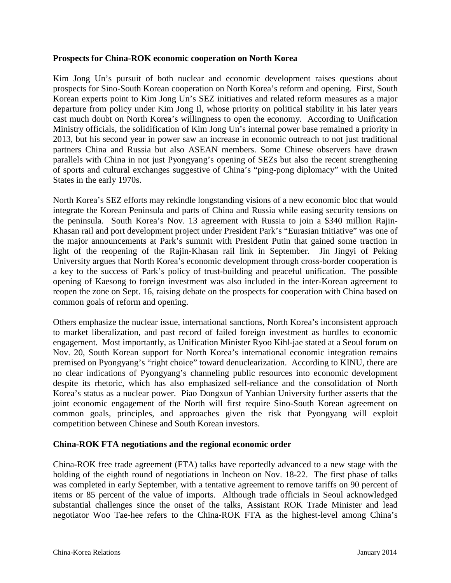#### **Prospects for China-ROK economic cooperation on North Korea**

Kim Jong Un's pursuit of both nuclear and economic development raises questions about prospects for Sino-South Korean cooperation on North Korea's reform and opening. First, South Korean experts point to Kim Jong Un's SEZ initiatives and related reform measures as a major departure from policy under Kim Jong Il, whose priority on political stability in his later years cast much doubt on North Korea's willingness to open the economy. According to Unification Ministry officials, the solidification of Kim Jong Un's internal power base remained a priority in 2013, but his second year in power saw an increase in economic outreach to not just traditional partners China and Russia but also ASEAN members. Some Chinese observers have drawn parallels with China in not just Pyongyang's opening of SEZs but also the recent strengthening of sports and cultural exchanges suggestive of China's "ping-pong diplomacy" with the United States in the early 1970s.

North Korea's SEZ efforts may rekindle longstanding visions of a new economic bloc that would integrate the Korean Peninsula and parts of China and Russia while easing security tensions on the peninsula. South Korea's Nov. 13 agreement with Russia to join a \$340 million Rajin-Khasan rail and port development project under President Park's "Eurasian Initiative" was one of the major announcements at Park's summit with President Putin that gained some traction in light of the reopening of the Rajin-Khasan rail link in September. Jin Jingyi of Peking University argues that North Korea's economic development through cross-border cooperation is a key to the success of Park's policy of trust-building and peaceful unification. The possible opening of Kaesong to foreign investment was also included in the inter-Korean agreement to reopen the zone on Sept. 16, raising debate on the prospects for cooperation with China based on common goals of reform and opening.

Others emphasize the nuclear issue, international sanctions, North Korea's inconsistent approach to market liberalization, and past record of failed foreign investment as hurdles to economic engagement. Most importantly, as Unification Minister Ryoo Kihl-jae stated at a Seoul forum on Nov. 20, South Korean support for North Korea's international economic integration remains premised on Pyongyang's "right choice" toward denuclearization. According to KINU, there are no clear indications of Pyongyang's channeling public resources into economic development despite its rhetoric, which has also emphasized self-reliance and the consolidation of North Korea's status as a nuclear power. Piao Dongxun of Yanbian University further asserts that the joint economic engagement of the North will first require Sino-South Korean agreement on common goals, principles, and approaches given the risk that Pyongyang will exploit competition between Chinese and South Korean investors.

#### **China-ROK FTA negotiations and the regional economic order**

China-ROK free trade agreement (FTA) talks have reportedly advanced to a new stage with the holding of the eighth round of negotiations in Incheon on Nov. 18-22. The first phase of talks was completed in early September, with a tentative agreement to remove tariffs on 90 percent of items or 85 percent of the value of imports. Although trade officials in Seoul acknowledged substantial challenges since the onset of the talks, Assistant ROK Trade Minister and lead negotiator Woo Tae-hee refers to the China-ROK FTA as the highest-level among China's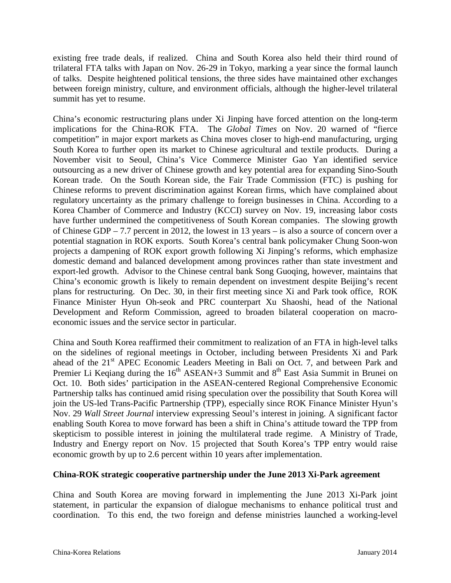existing free trade deals, if realized. China and South Korea also held their third round of trilateral FTA talks with Japan on Nov. 26-29 in Tokyo, marking a year since the formal launch of talks. Despite heightened political tensions, the three sides have maintained other exchanges between foreign ministry, culture, and environment officials, although the higher-level trilateral summit has yet to resume.

China's economic restructuring plans under Xi Jinping have forced attention on the long-term implications for the China-ROK FTA. The *Global Times* on Nov. 20 warned of "fierce competition" in major export markets as China moves closer to high-end manufacturing, urging South Korea to further open its market to Chinese agricultural and textile products. During a November visit to Seoul, China's Vice Commerce Minister Gao Yan identified service outsourcing as a new driver of Chinese growth and key potential area for expanding Sino-South Korean trade. On the South Korean side, the Fair Trade Commission (FTC) is pushing for Chinese reforms to prevent discrimination against Korean firms, which have complained about regulatory uncertainty as the primary challenge to foreign businesses in China. According to a Korea Chamber of Commerce and Industry (KCCI) survey on Nov. 19, increasing labor costs have further undermined the competitiveness of South Korean companies. The slowing growth of Chinese GDP – 7.7 percent in 2012, the lowest in 13 years – is also a source of concern over a potential stagnation in ROK exports. South Korea's central bank policymaker Chung Soon-won projects a dampening of ROK export growth following Xi Jinping's reforms, which emphasize domestic demand and balanced development among provinces rather than state investment and export-led growth. Advisor to the Chinese central bank Song Guoqing, however, maintains that China's economic growth is likely to remain dependent on investment despite Beijing's recent plans for restructuring. On Dec. 30, in their first meeting since Xi and Park took office, ROK Finance Minister Hyun Oh-seok and PRC counterpart Xu Shaoshi, head of the National Development and Reform Commission, agreed to broaden bilateral cooperation on macroeconomic issues and the service sector in particular.

China and South Korea reaffirmed their commitment to realization of an FTA in high-level talks on the sidelines of regional meetings in October, including between Presidents Xi and Park ahead of the 21<sup>st</sup> APEC Economic Leaders Meeting in Bali on Oct. 7, and between Park and Premier Li Keqiang during the  $16<sup>th</sup>$  ASEAN+3 Summit and  $8<sup>th</sup>$  East Asia Summit in Brunei on Oct. 10. Both sides' participation in the ASEAN-centered Regional Comprehensive Economic Partnership talks has continued amid rising speculation over the possibility that South Korea will join the US-led Trans-Pacific Partnership (TPP), especially since ROK Finance Minister Hyun's Nov. 29 *Wall Street Journal* interview expressing Seoul's interest in joining. A significant factor enabling South Korea to move forward has been a shift in China's attitude toward the TPP from skepticism to possible interest in joining the multilateral trade regime. A Ministry of Trade, Industry and Energy report on Nov. 15 projected that South Korea's TPP entry would raise economic growth by up to 2.6 percent within 10 years after implementation.

#### **China-ROK strategic cooperative partnership under the June 2013 Xi-Park agreement**

China and South Korea are moving forward in implementing the June 2013 Xi-Park joint statement, in particular the expansion of dialogue mechanisms to enhance political trust and coordination. To this end, the two foreign and defense ministries launched a working-level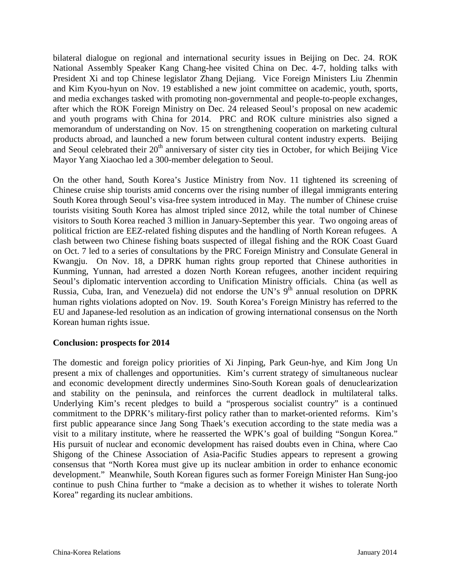bilateral dialogue on regional and international security issues in Beijing on Dec. 24. ROK National Assembly Speaker Kang Chang-hee visited China on Dec. 4-7, holding talks with President Xi and top Chinese legislator Zhang Dejiang. Vice Foreign Ministers Liu Zhenmin and Kim Kyou-hyun on Nov. 19 established a new joint committee on academic, youth, sports, and media exchanges tasked with promoting non-governmental and people-to-people exchanges, after which the ROK Foreign Ministry on Dec. 24 released Seoul's proposal on new academic and youth programs with China for 2014. PRC and ROK culture ministries also signed a memorandum of understanding on Nov. 15 on strengthening cooperation on marketing cultural products abroad, and launched a new forum between cultural content industry experts. Beijing and Seoul celebrated their  $20<sup>th</sup>$  anniversary of sister city ties in October, for which Beijing Vice Mayor Yang Xiaochao led a 300-member delegation to Seoul.

On the other hand, South Korea's Justice Ministry from Nov. 11 tightened its screening of Chinese cruise ship tourists amid concerns over the rising number of illegal immigrants entering South Korea through Seoul's visa-free system introduced in May. The number of Chinese cruise tourists visiting South Korea has almost tripled since 2012, while the total number of Chinese visitors to South Korea reached 3 million in January-September this year. Two ongoing areas of political friction are EEZ-related fishing disputes and the handling of North Korean refugees. A clash between two Chinese fishing boats suspected of illegal fishing and the ROK Coast Guard on Oct. 7 led to a series of consultations by the PRC Foreign Ministry and Consulate General in Kwangju. On Nov. 18, a DPRK human rights group reported that Chinese authorities in Kunming, Yunnan, had arrested a dozen North Korean refugees, another incident requiring Seoul's diplomatic intervention according to Unification Ministry officials. China (as well as Russia, Cuba, Iran, and Venezuela) did not endorse the UN's  $9<sup>th</sup>$  annual resolution on DPRK human rights violations adopted on Nov. 19. South Korea's Foreign Ministry has referred to the EU and Japanese-led resolution as an indication of growing international consensus on the North Korean human rights issue.

#### **Conclusion: prospects for 2014**

The domestic and foreign policy priorities of Xi Jinping, Park Geun-hye, and Kim Jong Un present a mix of challenges and opportunities. Kim's current strategy of simultaneous nuclear and economic development directly undermines Sino-South Korean goals of denuclearization and stability on the peninsula, and reinforces the current deadlock in multilateral talks. Underlying Kim's recent pledges to build a "prosperous socialist country" is a continued commitment to the DPRK's military-first policy rather than to market-oriented reforms. Kim's first public appearance since Jang Song Thaek's execution according to the state media was a visit to a military institute, where he reasserted the WPK's goal of building "Songun Korea." His pursuit of nuclear and economic development has raised doubts even in China, where Cao Shigong of the Chinese Association of Asia-Pacific Studies appears to represent a growing consensus that "North Korea must give up its nuclear ambition in order to enhance economic development." Meanwhile, South Korean figures such as former Foreign Minister Han Sung-joo continue to push China further to "make a decision as to whether it wishes to tolerate North Korea" regarding its nuclear ambitions.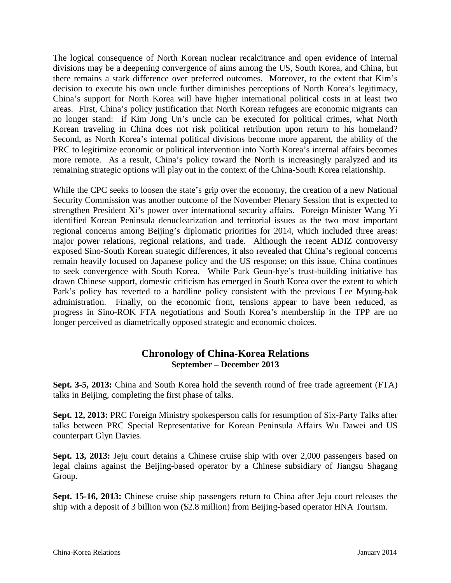The logical consequence of North Korean nuclear recalcitrance and open evidence of internal divisions may be a deepening convergence of aims among the US, South Korea, and China, but there remains a stark difference over preferred outcomes. Moreover, to the extent that Kim's decision to execute his own uncle further diminishes perceptions of North Korea's legitimacy, China's support for North Korea will have higher international political costs in at least two areas. First, China's policy justification that North Korean refugees are economic migrants can no longer stand: if Kim Jong Un's uncle can be executed for political crimes, what North Korean traveling in China does not risk political retribution upon return to his homeland? Second, as North Korea's internal political divisions become more apparent, the ability of the PRC to legitimize economic or political intervention into North Korea's internal affairs becomes more remote. As a result, China's policy toward the North is increasingly paralyzed and its remaining strategic options will play out in the context of the China-South Korea relationship.

While the CPC seeks to loosen the state's grip over the economy, the creation of a new National Security Commission was another outcome of the November Plenary Session that is expected to strengthen President Xi's power over international security affairs. Foreign Minister Wang Yi identified Korean Peninsula denuclearization and territorial issues as the two most important regional concerns among Beijing's diplomatic priorities for 2014, which included three areas: major power relations, regional relations, and trade. Although the recent ADIZ controversy exposed Sino-South Korean strategic differences, it also revealed that China's regional concerns remain heavily focused on Japanese policy and the US response; on this issue, China continues to seek convergence with South Korea. While Park Geun-hye's trust-building initiative has drawn Chinese support, domestic criticism has emerged in South Korea over the extent to which Park's policy has reverted to a hardline policy consistent with the previous Lee Myung-bak administration. Finally, on the economic front, tensions appear to have been reduced, as progress in Sino-ROK FTA negotiations and South Korea's membership in the TPP are no longer perceived as diametrically opposed strategic and economic choices.

### **Chronology of China-Korea Relations September – December 2013**

**Sept. 3-5, 2013:** China and South Korea hold the seventh round of free trade agreement (FTA) talks in Beijing, completing the first phase of talks.

**Sept. 12, 2013:** PRC Foreign Ministry spokesperson calls for resumption of Six-Party Talks after talks between PRC Special Representative for Korean Peninsula Affairs Wu Dawei and US counterpart Glyn Davies.

**Sept. 13, 2013:** Jeju court detains a Chinese cruise ship with over 2,000 passengers based on legal claims against the Beijing-based operator by a Chinese subsidiary of Jiangsu Shagang Group.

**Sept. 15-16, 2013:** Chinese cruise ship passengers return to China after Jeju court releases the ship with a deposit of 3 billion won (\$2.8 million) from Beijing-based operator HNA Tourism.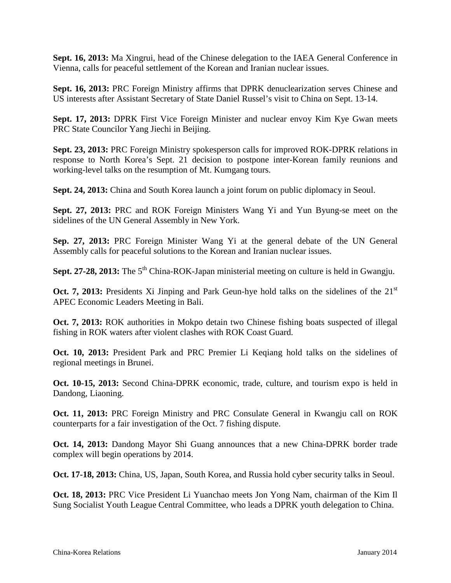**Sept. 16, 2013:** Ma Xingrui, head of the Chinese delegation to the IAEA General Conference in Vienna, calls for peaceful settlement of the Korean and Iranian nuclear issues.

**Sept. 16, 2013:** PRC Foreign Ministry affirms that DPRK denuclearization serves Chinese and US interests after Assistant Secretary of State Daniel Russel's visit to China on Sept. 13-14.

**Sept. 17, 2013:** DPRK First Vice Foreign Minister and nuclear envoy Kim Kye Gwan meets PRC State Councilor Yang Jiechi in Beijing.

**Sept. 23, 2013:** PRC Foreign Ministry spokesperson calls for improved ROK-DPRK relations in response to North Korea's Sept. 21 decision to postpone inter-Korean family reunions and working-level talks on the resumption of Mt. Kumgang tours.

**Sept. 24, 2013:** China and South Korea launch a joint forum on public diplomacy in Seoul.

**Sept. 27, 2013:** PRC and ROK Foreign Ministers Wang Yi and Yun Byung-se meet on the sidelines of the UN General Assembly in New York.

**Sep. 27, 2013:** PRC Foreign Minister Wang Yi at the general debate of the UN General Assembly calls for peaceful solutions to the Korean and Iranian nuclear issues.

**Sept. 27-28, 2013:** The 5<sup>th</sup> China-ROK-Japan ministerial meeting on culture is held in Gwangju.

**Oct. 7, 2013:** Presidents Xi Jinping and Park Geun-hye hold talks on the sidelines of the 21<sup>st</sup> APEC Economic Leaders Meeting in Bali.

**Oct. 7, 2013:** ROK authorities in Mokpo detain two Chinese fishing boats suspected of illegal fishing in ROK waters after violent clashes with ROK Coast Guard.

**Oct. 10, 2013:** President Park and PRC Premier Li Keqiang hold talks on the sidelines of regional meetings in Brunei.

**Oct. 10-15, 2013:** Second China-DPRK economic, trade, culture, and tourism expo is held in Dandong, Liaoning.

**Oct. 11, 2013:** PRC Foreign Ministry and PRC Consulate General in Kwangju call on ROK counterparts for a fair investigation of the Oct. 7 fishing dispute.

**Oct. 14, 2013:** Dandong Mayor Shi Guang announces that a new China-DPRK border trade complex will begin operations by 2014.

**Oct. 17-18, 2013:** China, US, Japan, South Korea, and Russia hold cyber security talks in Seoul.

**Oct. 18, 2013:** PRC Vice President Li Yuanchao meets Jon Yong Nam, chairman of the Kim Il Sung Socialist Youth League Central Committee, who leads a DPRK youth delegation to China.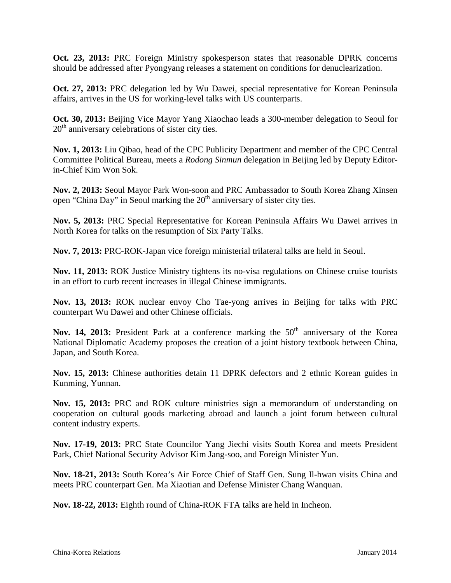**Oct. 23, 2013:** PRC Foreign Ministry spokesperson states that reasonable DPRK concerns should be addressed after Pyongyang releases a statement on conditions for denuclearization.

**Oct. 27, 2013:** PRC delegation led by Wu Dawei, special representative for Korean Peninsula affairs, arrives in the US for working-level talks with US counterparts.

**Oct. 30, 2013:** Beijing Vice Mayor Yang Xiaochao leads a 300-member delegation to Seoul for  $20<sup>th</sup>$  anniversary celebrations of sister city ties.

**Nov. 1, 2013:** Liu Qibao, head of the CPC Publicity Department and member of the CPC Central Committee Political Bureau, meets a *Rodong Sinmun* delegation in Beijing led by Deputy Editorin-Chief Kim Won Sok.

**Nov. 2, 2013:** Seoul Mayor Park Won-soon and PRC Ambassador to South Korea Zhang Xinsen open "China Day" in Seoul marking the  $20<sup>th</sup>$  anniversary of sister city ties.

**Nov. 5, 2013:** PRC Special Representative for Korean Peninsula Affairs Wu Dawei arrives in North Korea for talks on the resumption of Six Party Talks.

**Nov. 7, 2013:** PRC-ROK-Japan vice foreign ministerial trilateral talks are held in Seoul.

**Nov. 11, 2013:** ROK Justice Ministry tightens its no-visa regulations on Chinese cruise tourists in an effort to curb recent increases in illegal Chinese immigrants.

**Nov. 13, 2013:** ROK nuclear envoy Cho Tae-yong arrives in Beijing for talks with PRC counterpart Wu Dawei and other Chinese officials.

Nov. 14, 2013: President Park at a conference marking the 50<sup>th</sup> anniversary of the Korea National Diplomatic Academy proposes the creation of a joint history textbook between China, Japan, and South Korea.

**Nov. 15, 2013:** Chinese authorities detain 11 DPRK defectors and 2 ethnic Korean guides in Kunming, Yunnan.

**Nov. 15, 2013:** PRC and ROK culture ministries sign a memorandum of understanding on cooperation on cultural goods marketing abroad and launch a joint forum between cultural content industry experts.

**Nov. 17-19, 2013:** PRC State Councilor Yang Jiechi visits South Korea and meets President Park, Chief National Security Advisor Kim Jang-soo, and Foreign Minister Yun.

**Nov. 18-21, 2013:** South Korea's Air Force Chief of Staff Gen. Sung Il-hwan visits China and meets PRC counterpart Gen. Ma Xiaotian and Defense Minister Chang Wanquan.

**Nov. 18-22, 2013:** Eighth round of China-ROK FTA talks are held in Incheon.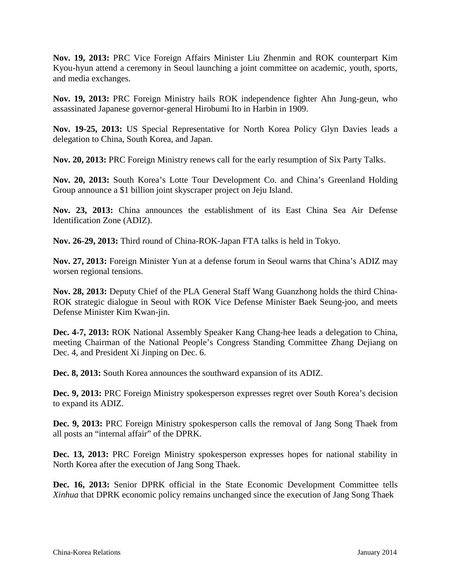**Nov. 19, 2013:** PRC Vice Foreign Affairs Minister Liu Zhenmin and ROK counterpart Kim Kyou-hyun attend a ceremony in Seoul launching a joint committee on academic, youth, sports, and media exchanges.

**Nov. 19, 2013:** PRC Foreign Ministry hails ROK independence fighter Ahn Jung-geun, who assassinated Japanese governor-general Hirobumi Ito in Harbin in 1909.

**Nov. 19-25, 2013:** US Special Representative for North Korea Policy Glyn Davies leads a delegation to China, South Korea, and Japan.

**Nov. 20, 2013:** PRC Foreign Ministry renews call for the early resumption of Six Party Talks.

**Nov. 20, 2013:** South Korea's Lotte Tour Development Co. and China's Greenland Holding Group announce a \$1 billion joint skyscraper project on Jeju Island.

**Nov. 23, 2013:** China announces the establishment of its East China Sea Air Defense Identification Zone (ADIZ).

**Nov. 26-29, 2013:** Third round of China-ROK-Japan FTA talks is held in Tokyo.

**Nov. 27, 2013:** Foreign Minister Yun at a defense forum in Seoul warns that China's ADIZ may worsen regional tensions.

**Nov. 28, 2013:** Deputy Chief of the PLA General Staff Wang Guanzhong holds the third China-ROK strategic dialogue in Seoul with ROK Vice Defense Minister Baek Seung-joo, and meets Defense Minister Kim Kwan-jin.

**Dec. 4-7, 2013:** ROK National Assembly Speaker Kang Chang-hee leads a delegation to China, meeting Chairman of the National People's Congress Standing Committee Zhang Dejiang on Dec. 4, and President Xi Jinping on Dec. 6.

**Dec. 8, 2013:** South Korea announces the southward expansion of its ADIZ.

**Dec. 9, 2013:** PRC Foreign Ministry spokesperson expresses regret over South Korea's decision to expand its ADIZ.

**Dec. 9, 2013:** PRC Foreign Ministry spokesperson calls the removal of Jang Song Thaek from all posts an "internal affair" of the DPRK.

**Dec. 13, 2013:** PRC Foreign Ministry spokesperson expresses hopes for national stability in North Korea after the execution of Jang Song Thaek.

**Dec. 16, 2013:** Senior DPRK official in the State Economic Development Committee tells *Xinhua* that DPRK economic policy remains unchanged since the execution of Jang Song Thaek